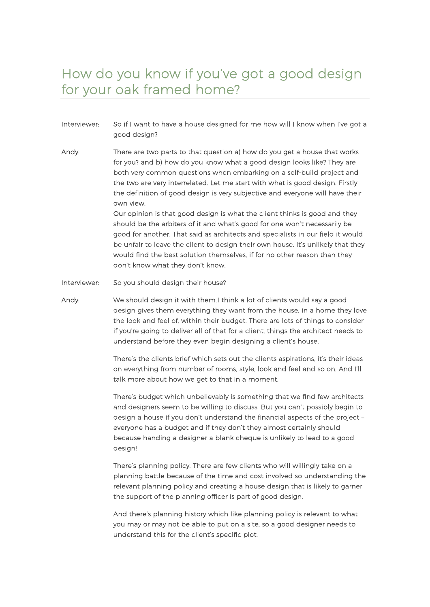## How do you know if you've got a good design for your oak framed home?

- Interviewer: So if I want to have a house designed for me how will I know when I've got a good design?
- Andy: There are two parts to that question a) how do you get a house that works for you? and b) how do you know what a good design looks like? They are both very common questions when embarking on a self-build project and the two are very interrelated. Let me start with what is good design. Firstly the definition of good design is very subjective and everyone will have their own view.

Our opinion is that good design is what the client thinks is good and they should be the arbiters of it and what's good for one won't necessarily be good for another. That said as architects and specialists in our field it would be unfair to leave the client to design their own house. It's unlikely that they would find the best solution themselves, if for no other reason than they don't know what they don't know.

Interviewer: So you should design their house?

Andy: We should design it with them. I think a lot of clients would say a good design gives them everything they want from the house, in a home they love the look and feel of, within their budget. There are lots of things to consider if you're going to deliver all of that for a client, things the architect needs to understand before they even begin designing a client's house.

> There's the clients brief which sets out the clients aspirations, it's their ideas on everything from number of rooms, style, look and feel and so on. And I'll talk more about how we get to that in a moment.

> There's budget which unbelievably is something that we find few architects and designers seem to be willing to discuss. But you can't possibly begin to design a house if you don't understand the financial aspects of the project – everyone has a budget and if they don't they almost certainly should because handing a designer a blank cheque is unlikely to lead to a good design!

> There's planning policy. There are few clients who will willingly take on a planning battle because of the time and cost involved so understanding the relevant planning policy and creating a house design that is likely to garner the support of the planning officer is part of good design.

And there's planning history which like planning policy is relevant to what you may or may not be able to put on a site, so a good designer needs to understand this for the client's specific plot.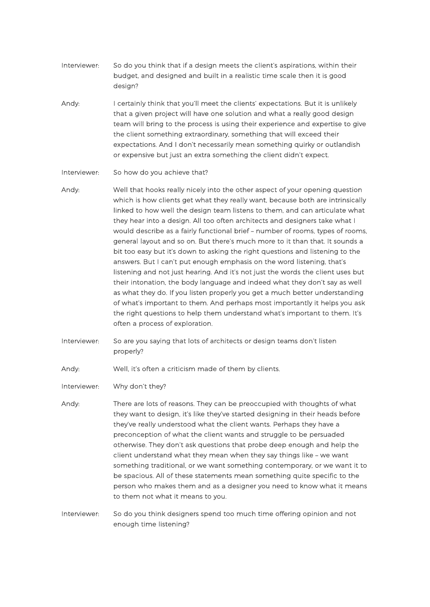- Interviewer: So do you think that if a design meets the client's aspirations, within their budget, and designed and built in a realistic time scale then it is good design?
- Andy: I certainly think that you'll meet the clients' expectations. But it is unlikely that a given project will have one solution and what a really good design team will bring to the process is using their experience and expertise to give the client something extraordinary, something that will exceed their expectations. And I don't necessarily mean something quirky or outlandish or expensive but just an extra something the client didn't expect.

Interviewer: So how do you achieve that?

- Andy: Well that hooks really nicely into the other aspect of your opening question which is how clients get what they really want, because both are intrinsically linked to how well the design team listens to them, and can articulate what they hear into a design. All too often architects and designers take what I would describe as a fairly functional brief – number of rooms, types of rooms, general layout and so on. But there's much more to it than that. It sounds a bit too easy but it's down to asking the right questions and listening to the answers. But I can't put enough emphasis on the word listening, that's listening and not just hearing. And it's not just the words the client uses but their intonation, the body language and indeed what they don't say as well as what they do. If you listen properly you get a much better understanding of what's important to them. And perhaps most importantly it helps you ask the right questions to help them understand what's important to them. It's often a process of exploration.
- Interviewer: So are you saying that lots of architects or design teams don't listen properly?
- Andy: Well, it's often a criticism made of them by clients.
- Interviewer: Why don't they?
- Andy: There are lots of reasons. They can be preoccupied with thoughts of what they want to design, it's like they've started designing in their heads before they've really understood what the client wants. Perhaps they have a preconception of what the client wants and struggle to be persuaded otherwise. They don't ask questions that probe deep enough and help the client understand what they mean when they say things like – we want something traditional, or we want something contemporary, or we want it to be spacious. All of these statements mean something quite specific to the person who makes them and as a designer you need to know what it means to them not what it means to you.
- Interviewer: So do you think designers spend too much time offering opinion and not enough time listening?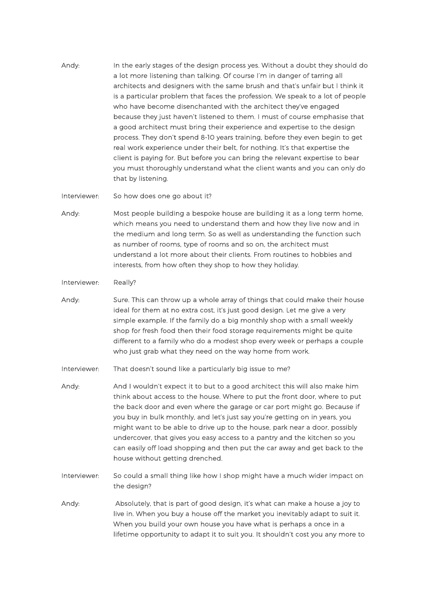- Andy: In the early stages of the design process yes. Without a doubt they should do a lot more listening than talking. Of course I'm in danger of tarring all architects and designers with the same brush and that's unfair but I think it is a particular problem that faces the profession. We speak to a lot of people who have become disenchanted with the architect they've engaged because they just haven't listened to them. I must of course emphasise that a good architect must bring their experience and expertise to the design process. They don't spend 8-10 years training, before they even begin to get real work experience under their belt, for nothing. It's that expertise the client is paying for. But before you can bring the relevant expertise to bear you must thoroughly understand what the client wants and you can only do that by listening.
- Interviewer: So how does one go about it?
- Andy: Most people building a bespoke house are building it as a long term home, which means you need to understand them and how they live now and in the medium and long term. So as well as understanding the function such as number of rooms, type of rooms and so on, the architect must understand a lot more about their clients. From routines to hobbies and interests, from how often they shop to how they holiday.

## Interviewer: Really?

- Andy: Sure. This can throw up a whole array of things that could make their house ideal for them at no extra cost, it's just good design. Let me give a very simple example. If the family do a big monthly shop with a small weekly shop for fresh food then their food storage requirements might be quite different to a family who do a modest shop every week or perhaps a couple who just grab what they need on the way home from work.
- Interviewer: That doesn't sound like a particularly big issue to me?
- Andy: And I wouldn't expect it to but to a good architect this will also make him think about access to the house. Where to put the front door, where to put the back door and even where the garage or car port might go. Because if you buy in bulk monthly, and let's just say you're getting on in years, you might want to be able to drive up to the house, park near a door, possibly undercover, that gives you easy access to a pantry and the kitchen so you can easily off load shopping and then put the car away and get back to the house without getting drenched.
- Interviewer: So could a small thing like how I shop might have a much wider impact on the design?
- Andy: Absolutely, that is part of good design, it's what can make a house a joy to live in. When you buy a house off the market you inevitably adapt to suit it. When you build your own house you have what is perhaps a once in a lifetime opportunity to adapt it to suit you. It shouldn't cost you any more to